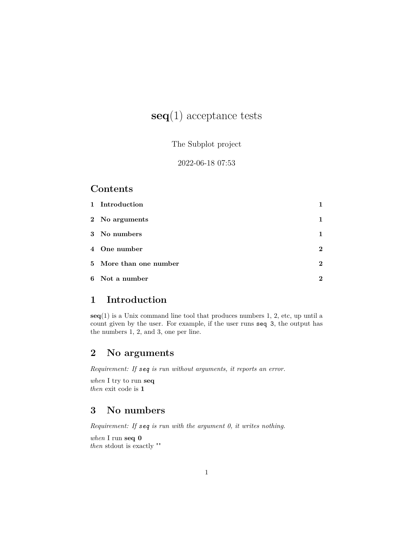# **seq**(1) acceptance tests

The Subplot project

2022-06-18 07:53

#### **Contents**

| 1 Introduction         |                |
|------------------------|----------------|
| 2 No arguments         | 1              |
| 3 No numbers           | 1              |
| 4 One number           | $\overline{2}$ |
| 5 More than one number | $\mathbf{2}$   |
| 6 Not a number         | 2              |

## <span id="page-0-0"></span>**1 Introduction**

**seq**(1) is a Unix command line tool that produces numbers 1, 2, etc, up until a count given by the user. For example, if the user runs seq 3, the output has the numbers 1, 2, and 3, one per line.

## <span id="page-0-1"></span>**2 No arguments**

*Requirement: If seq is run without arguments, it reports an error.*

*when* I try to run **seq** *then* exit code is **1**

## <span id="page-0-2"></span>**3 No numbers**

*Requirement: If seq is run with the argument 0, it writes nothing.*

*when* I run **seq 0** *then* stdout is exactly ""